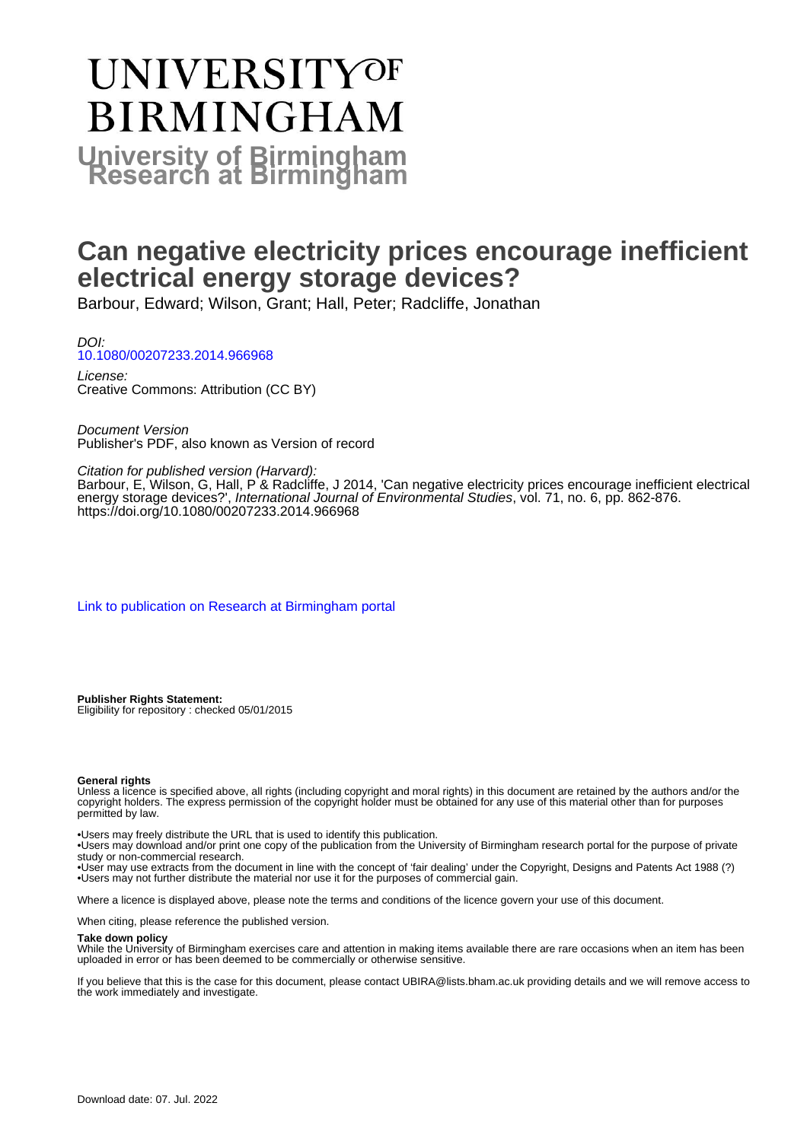# UNIVERSITYOF **BIRMINGHAM University of Birmingham**

## **Can negative electricity prices encourage inefficient electrical energy storage devices?**

Barbour, Edward; Wilson, Grant; Hall, Peter; Radcliffe, Jonathan

DOI: [10.1080/00207233.2014.966968](https://doi.org/10.1080/00207233.2014.966968)

License: Creative Commons: Attribution (CC BY)

Document Version Publisher's PDF, also known as Version of record

Citation for published version (Harvard):

Barbour, E, Wilson, G, Hall, P & Radcliffe, J 2014, 'Can negative electricity prices encourage inefficient electrical energy storage devices?', International Journal of Environmental Studies, vol. 71, no. 6, pp. 862-876. <https://doi.org/10.1080/00207233.2014.966968>

[Link to publication on Research at Birmingham portal](https://birmingham.elsevierpure.com/en/publications/fdf64926-6d25-480a-8c6f-cdf3546db91d)

**Publisher Rights Statement:** Eligibility for repository : checked 05/01/2015

#### **General rights**

Unless a licence is specified above, all rights (including copyright and moral rights) in this document are retained by the authors and/or the copyright holders. The express permission of the copyright holder must be obtained for any use of this material other than for purposes permitted by law.

• Users may freely distribute the URL that is used to identify this publication.

• Users may download and/or print one copy of the publication from the University of Birmingham research portal for the purpose of private study or non-commercial research.

• User may use extracts from the document in line with the concept of 'fair dealing' under the Copyright, Designs and Patents Act 1988 (?) • Users may not further distribute the material nor use it for the purposes of commercial gain.

Where a licence is displayed above, please note the terms and conditions of the licence govern your use of this document.

When citing, please reference the published version.

#### **Take down policy**

While the University of Birmingham exercises care and attention in making items available there are rare occasions when an item has been uploaded in error or has been deemed to be commercially or otherwise sensitive.

If you believe that this is the case for this document, please contact UBIRA@lists.bham.ac.uk providing details and we will remove access to the work immediately and investigate.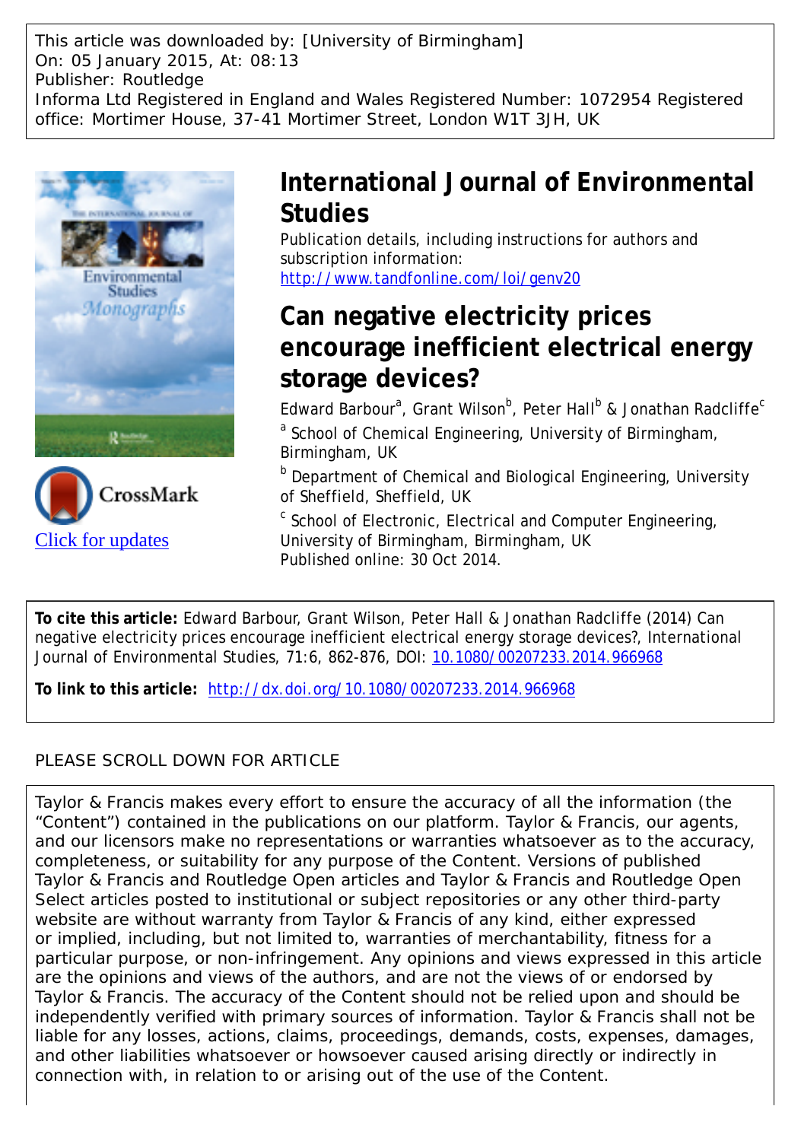This article was downloaded by: [University of Birmingham] On: 05 January 2015, At: 08:13 Publisher: Routledge Informa Ltd Registered in England and Wales Registered Number: 1072954 Registered office: Mortimer House, 37-41 Mortimer Street, London W1T 3JH, UK





### **International Journal of Environmental Studies**

Publication details, including instructions for authors and subscription information: <http://www.tandfonline.com/loi/genv20>

### **Can negative electricity prices encourage inefficient electrical energy storage devices?**

Edward Barbour<sup>a</sup>, Grant Wilson<sup>b</sup>, Peter Hall<sup>b</sup> & Jonathan Radcliffe<sup>c</sup> <sup>a</sup> School of Chemical Engineering, University of Birmingham, Birmingham, UK

**b** Department of Chemical and Biological Engineering, University of Sheffield, Sheffield, UK

<sup>c</sup> School of Electronic, Electrical and Computer Engineering, University of Birmingham, Birmingham, UK Published online: 30 Oct 2014.

**To cite this article:** Edward Barbour, Grant Wilson, Peter Hall & Jonathan Radcliffe (2014) Can negative electricity prices encourage inefficient electrical energy storage devices?, International Journal of Environmental Studies, 71:6, 862-876, DOI: [10.1080/00207233.2014.966968](http://www.tandfonline.com/action/showCitFormats?doi=10.1080/00207233.2014.966968)

**To link to this article:** <http://dx.doi.org/10.1080/00207233.2014.966968>

### PLEASE SCROLL DOWN FOR ARTICLE

Taylor & Francis makes every effort to ensure the accuracy of all the information (the "Content") contained in the publications on our platform. Taylor & Francis, our agents, and our licensors make no representations or warranties whatsoever as to the accuracy, completeness, or suitability for any purpose of the Content. Versions of published Taylor & Francis and Routledge Open articles and Taylor & Francis and Routledge Open Select articles posted to institutional or subject repositories or any other third-party website are without warranty from Taylor & Francis of any kind, either expressed or implied, including, but not limited to, warranties of merchantability, fitness for a particular purpose, or non-infringement. Any opinions and views expressed in this article are the opinions and views of the authors, and are not the views of or endorsed by Taylor & Francis. The accuracy of the Content should not be relied upon and should be independently verified with primary sources of information. Taylor & Francis shall not be liable for any losses, actions, claims, proceedings, demands, costs, expenses, damages, and other liabilities whatsoever or howsoever caused arising directly or indirectly in connection with, in relation to or arising out of the use of the Content.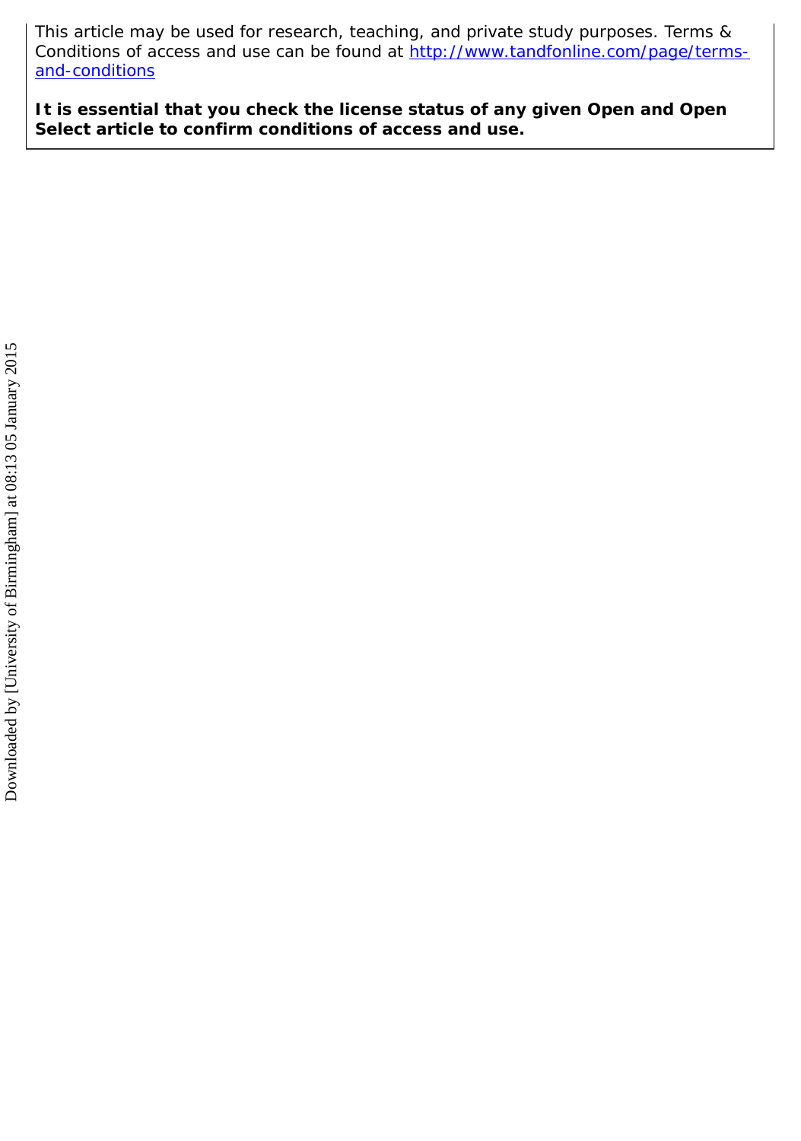This article may be used for research, teaching, and private study purposes. Terms & Conditions of access and use can be found at [http://www.tandfonline.com/page/terms](http://www.tandfonline.com/page/terms-and-conditions)[and-conditions](http://www.tandfonline.com/page/terms-and-conditions)

**It is essential that you check the license status of any given Open and Open Select article to confirm conditions of access and use.**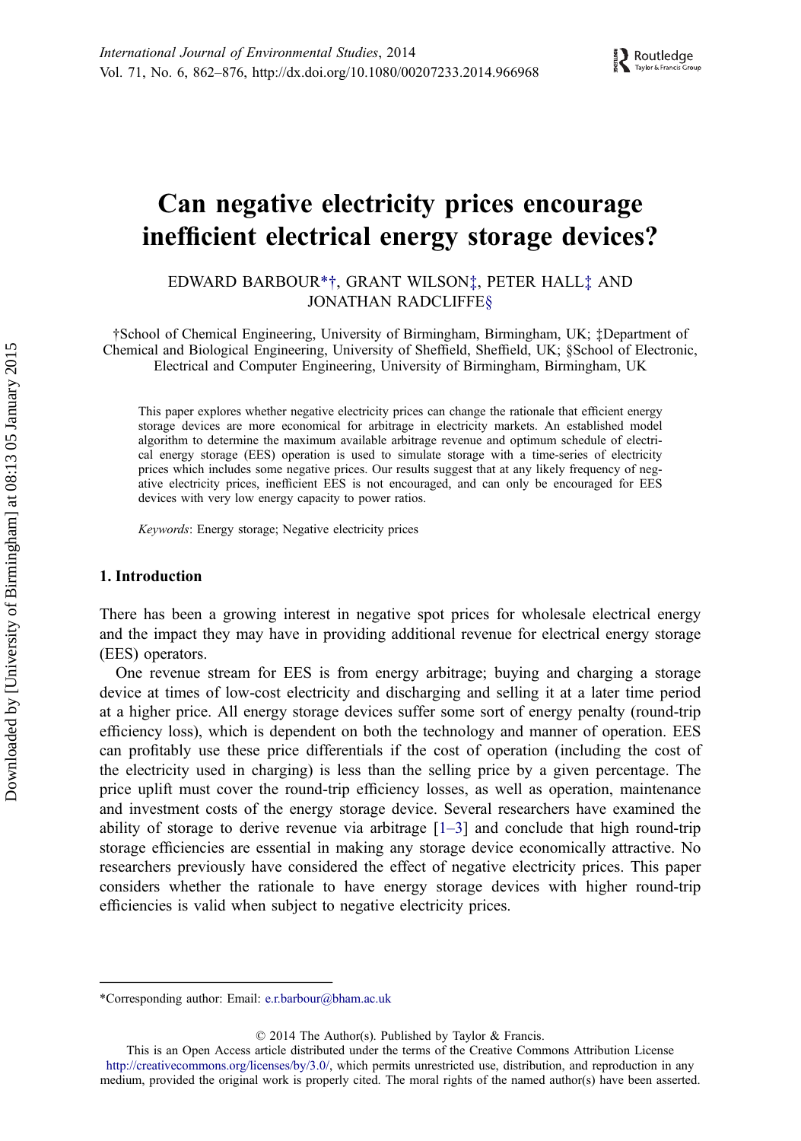### Can negative electricity prices encourage inefficient electrical energy storage devices?

EDWARD BARBOUR\*†, GRANT WILSON‡, PETER HALL‡ AND JONATHAN RADCLIFFE§

†School of Chemical Engineering, University of Birmingham, Birmingham, UK; ‡Department of Chemical and Biological Engineering, University of Sheffield, Sheffield, UK; §School of Electronic, Electrical and Computer Engineering, University of Birmingham, Birmingham, UK

This paper explores whether negative electricity prices can change the rationale that efficient energy storage devices are more economical for arbitrage in electricity markets. An established model algorithm to determine the maximum available arbitrage revenue and optimum schedule of electrical energy storage (EES) operation is used to simulate storage with a time-series of electricity prices which includes some negative prices. Our results suggest that at any likely frequency of negative electricity prices, inefficient EES is not encouraged, and can only be encouraged for EES devices with very low energy capacity to power ratios.

Keywords: Energy storage; Negative electricity prices

#### 1. Introduction

There has been a growing interest in negative spot prices for wholesale electrical energy and the impact they may have in providing additional revenue for electrical energy storage (EES) operators.

One revenue stream for EES is from energy arbitrage; buying and charging a storage device at times of low-cost electricity and discharging and selling it at a later time period at a higher price. All energy storage devices suffer some sort of energy penalty (round-trip efficiency loss), which is dependent on both the technology and manner of operation. EES can profitably use these price differentials if the cost of operation (including the cost of the electricity used in charging) is less than the selling price by a given percentage. The price uplift must cover the round-trip efficiency losses, as well as operation, maintenance and investment costs of the energy storage device. Several researchers have examined the ability of storage to derive revenue via arbitrage  $[1-3]$  $[1-3]$  and conclude that high round-trip storage efficiencies are essential in making any storage device economically attractive. No researchers previously have considered the effect of negative electricity prices. This paper considers whether the rationale to have energy storage devices with higher round-trip efficiencies is valid when subject to negative electricity prices.

<sup>\*</sup>Corresponding author: Email: [e.r.barbour@bham.ac.uk](mailto:e.r.barbour@bham.ac.uk)

<sup>© 2014</sup> The Author(s). Published by Taylor & Francis.

This is an Open Access article distributed under the terms of the Creative Commons Attribution License [http://creativecommons.org/licenses/by/3.0/,](http://creativecommons.org/licenses/by/3.0) which permits unrestricted use, distribution, and reproduction in any medium, provided the original work is properly cited. The moral rights of the named author(s) have been asserted.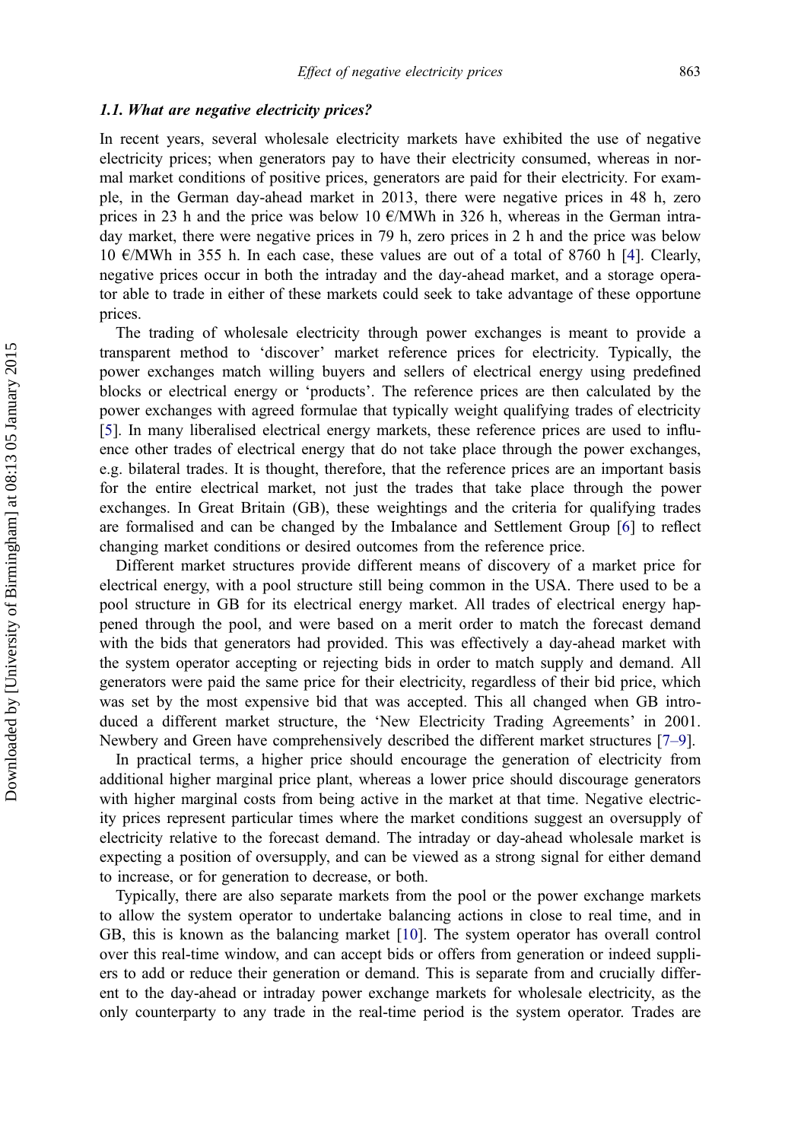#### 1.1. What are negative electricity prices?

In recent years, several wholesale electricity markets have exhibited the use of negative electricity prices; when generators pay to have their electricity consumed, whereas in normal market conditions of positive prices, generators are paid for their electricity. For example, in the German day-ahead market in 2013, there were negative prices in 48 h, zero prices in 23 h and the price was below 10  $\epsilon/MWh$  in 326 h, whereas in the German intraday market, there were negative prices in 79 h, zero prices in 2 h and the price was below 10  $\epsilon$ /MWh in 355 h. In each case, these values are out of a total of 8760 h [\[4](#page-16-0)]. Clearly, negative prices occur in both the intraday and the day-ahead market, and a storage operator able to trade in either of these markets could seek to take advantage of these opportune prices.

The trading of wholesale electricity through power exchanges is meant to provide a transparent method to 'discover' market reference prices for electricity. Typically, the power exchanges match willing buyers and sellers of electrical energy using predefined blocks or electrical energy or 'products'. The reference prices are then calculated by the power exchanges with agreed formulae that typically weight qualifying trades of electricity [[5\]](#page-16-0). In many liberalised electrical energy markets, these reference prices are used to influence other trades of electrical energy that do not take place through the power exchanges, e.g. bilateral trades. It is thought, therefore, that the reference prices are an important basis for the entire electrical market, not just the trades that take place through the power exchanges. In Great Britain (GB), these weightings and the criteria for qualifying trades are formalised and can be changed by the Imbalance and Settlement Group [\[6](#page-17-0)] to reflect changing market conditions or desired outcomes from the reference price.

Different market structures provide different means of discovery of a market price for electrical energy, with a pool structure still being common in the USA. There used to be a pool structure in GB for its electrical energy market. All trades of electrical energy happened through the pool, and were based on a merit order to match the forecast demand with the bids that generators had provided. This was effectively a day-ahead market with the system operator accepting or rejecting bids in order to match supply and demand. All generators were paid the same price for their electricity, regardless of their bid price, which was set by the most expensive bid that was accepted. This all changed when GB introduced a different market structure, the 'New Electricity Trading Agreements' in 2001. Newbery and Green have comprehensively described the different market structures [[7](#page-17-0)–9].

In practical terms, a higher price should encourage the generation of electricity from additional higher marginal price plant, whereas a lower price should discourage generators with higher marginal costs from being active in the market at that time. Negative electricity prices represent particular times where the market conditions suggest an oversupply of electricity relative to the forecast demand. The intraday or day-ahead wholesale market is expecting a position of oversupply, and can be viewed as a strong signal for either demand to increase, or for generation to decrease, or both.

Typically, there are also separate markets from the pool or the power exchange markets to allow the system operator to undertake balancing actions in close to real time, and in GB, this is known as the balancing market [[10](#page-17-0)]. The system operator has overall control over this real-time window, and can accept bids or offers from generation or indeed suppliers to add or reduce their generation or demand. This is separate from and crucially different to the day-ahead or intraday power exchange markets for wholesale electricity, as the only counterparty to any trade in the real-time period is the system operator. Trades are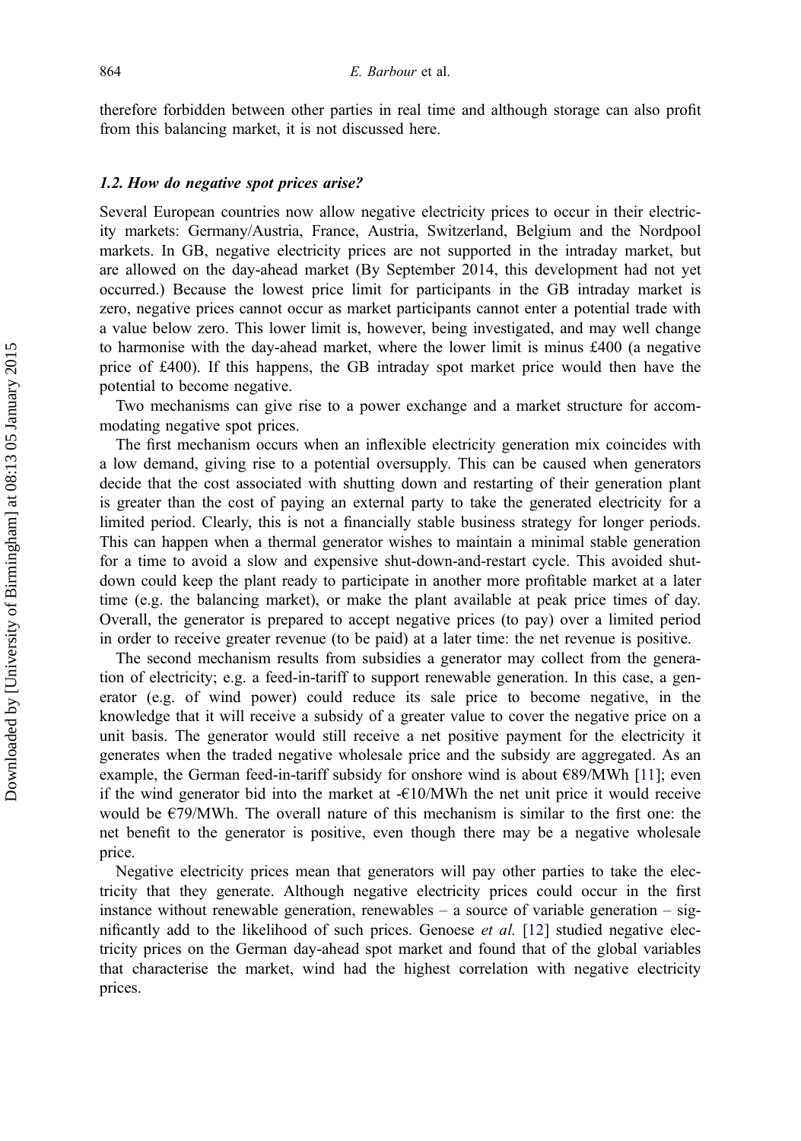therefore forbidden between other parties in real time and although storage can also profit from this balancing market, it is not discussed here.

#### 1.2. How do negative spot prices arise?

Several European countries now allow negative electricity prices to occur in their electricity markets: Germany/Austria, France, Austria, Switzerland, Belgium and the Nordpool markets. In GB, negative electricity prices are not supported in the intraday market, but are allowed on the day-ahead market (By September 2014, this development had not yet occurred.) Because the lowest price limit for participants in the GB intraday market is zero, negative prices cannot occur as market participants cannot enter a potential trade with a value below zero. This lower limit is, however, being investigated, and may well change to harmonise with the day-ahead market, where the lower limit is minus £400 (a negative price of £400). If this happens, the GB intraday spot market price would then have the potential to become negative.

Two mechanisms can give rise to a power exchange and a market structure for accommodating negative spot prices.

The first mechanism occurs when an inflexible electricity generation mix coincides with a low demand, giving rise to a potential oversupply. This can be caused when generators decide that the cost associated with shutting down and restarting of their generation plant is greater than the cost of paying an external party to take the generated electricity for a limited period. Clearly, this is not a financially stable business strategy for longer periods. This can happen when a thermal generator wishes to maintain a minimal stable generation for a time to avoid a slow and expensive shut-down-and-restart cycle. This avoided shutdown could keep the plant ready to participate in another more profitable market at a later time (e.g. the balancing market), or make the plant available at peak price times of day. Overall, the generator is prepared to accept negative prices (to pay) over a limited period in order to receive greater revenue (to be paid) at a later time: the net revenue is positive.

The second mechanism results from subsidies a generator may collect from the generation of electricity; e.g. a feed-in-tariff to support renewable generation. In this case, a generator (e.g. of wind power) could reduce its sale price to become negative, in the knowledge that it will receive a subsidy of a greater value to cover the negative price on a unit basis. The generator would still receive a net positive payment for the electricity it generates when the traded negative wholesale price and the subsidy are aggregated. As an example, the German feed-in-tariff subsidy for onshore wind is about  $E89/MWh$  [\[11\]](#page-17-0); even if the wind generator bid into the market at -€10/MWh the net unit price it would receive would be  $E$ 79/MWh. The overall nature of this mechanism is similar to the first one: the net benefit to the generator is positive, even though there may be a negative wholesale price.

Negative electricity prices mean that generators will pay other parties to take the electricity that they generate. Although negative electricity prices could occur in the first instance without renewable generation, renewables  $-$  a source of variable generation  $-$  significantly add to the likelihood of such prices. Genoese *et al.* [\[12](#page-17-0)] studied negative electricity prices on the German day-ahead spot market and found that of the global variables that characterise the market, wind had the highest correlation with negative electricity prices.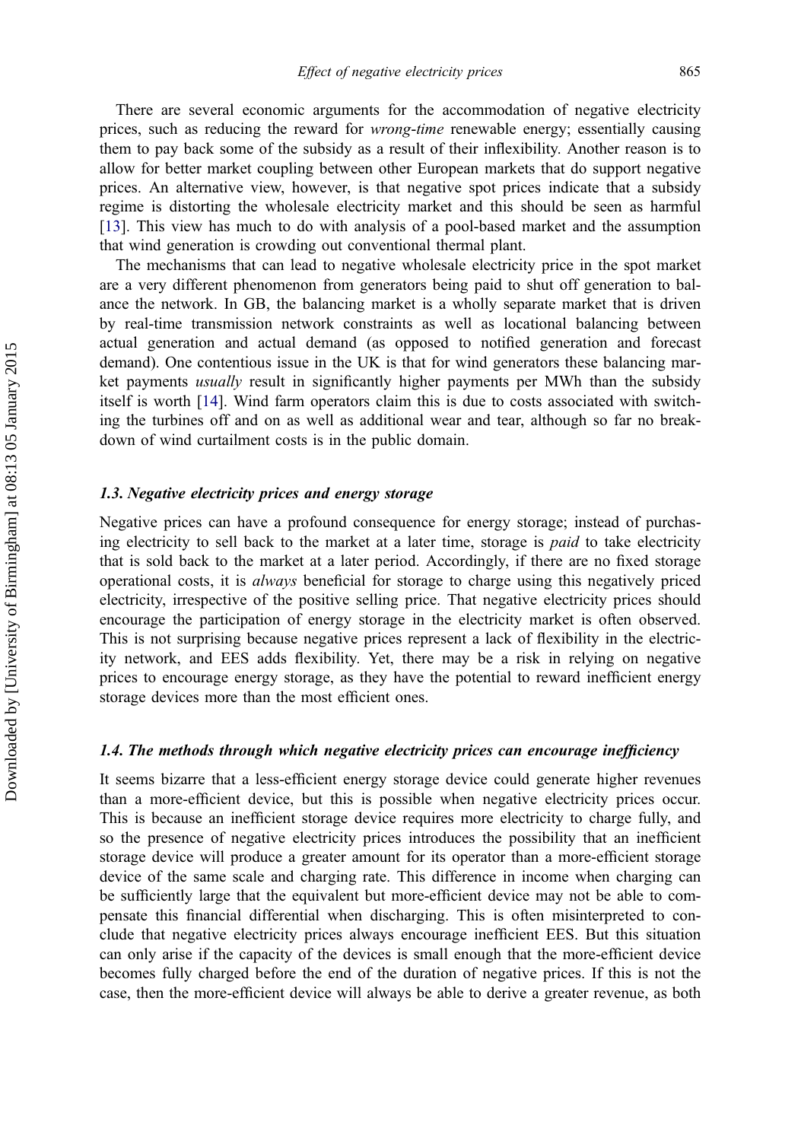There are several economic arguments for the accommodation of negative electricity prices, such as reducing the reward for *wrong-time* renewable energy; essentially causing them to pay back some of the subsidy as a result of their inflexibility. Another reason is to allow for better market coupling between other European markets that do support negative prices. An alternative view, however, is that negative spot prices indicate that a subsidy regime is distorting the wholesale electricity market and this should be seen as harmful [[13](#page-17-0)]. This view has much to do with analysis of a pool-based market and the assumption that wind generation is crowding out conventional thermal plant.

The mechanisms that can lead to negative wholesale electricity price in the spot market are a very different phenomenon from generators being paid to shut off generation to balance the network. In GB, the balancing market is a wholly separate market that is driven by real-time transmission network constraints as well as locational balancing between actual generation and actual demand (as opposed to notified generation and forecast demand). One contentious issue in the UK is that for wind generators these balancing market payments *usually* result in significantly higher payments per MWh than the subsidy itself is worth [\[14](#page-17-0)]. Wind farm operators claim this is due to costs associated with switching the turbines off and on as well as additional wear and tear, although so far no breakdown of wind curtailment costs is in the public domain.

#### 1.3. Negative electricity prices and energy storage

Negative prices can have a profound consequence for energy storage; instead of purchasing electricity to sell back to the market at a later time, storage is paid to take electricity that is sold back to the market at a later period. Accordingly, if there are no fixed storage operational costs, it is always beneficial for storage to charge using this negatively priced electricity, irrespective of the positive selling price. That negative electricity prices should encourage the participation of energy storage in the electricity market is often observed. This is not surprising because negative prices represent a lack of flexibility in the electricity network, and EES adds flexibility. Yet, there may be a risk in relying on negative prices to encourage energy storage, as they have the potential to reward inefficient energy storage devices more than the most efficient ones.

#### 1.4. The methods through which negative electricity prices can encourage inefficiency

It seems bizarre that a less-efficient energy storage device could generate higher revenues than a more-efficient device, but this is possible when negative electricity prices occur. This is because an inefficient storage device requires more electricity to charge fully, and so the presence of negative electricity prices introduces the possibility that an inefficient storage device will produce a greater amount for its operator than a more-efficient storage device of the same scale and charging rate. This difference in income when charging can be sufficiently large that the equivalent but more-efficient device may not be able to compensate this financial differential when discharging. This is often misinterpreted to conclude that negative electricity prices always encourage inefficient EES. But this situation can only arise if the capacity of the devices is small enough that the more-efficient device becomes fully charged before the end of the duration of negative prices. If this is not the case, then the more-efficient device will always be able to derive a greater revenue, as both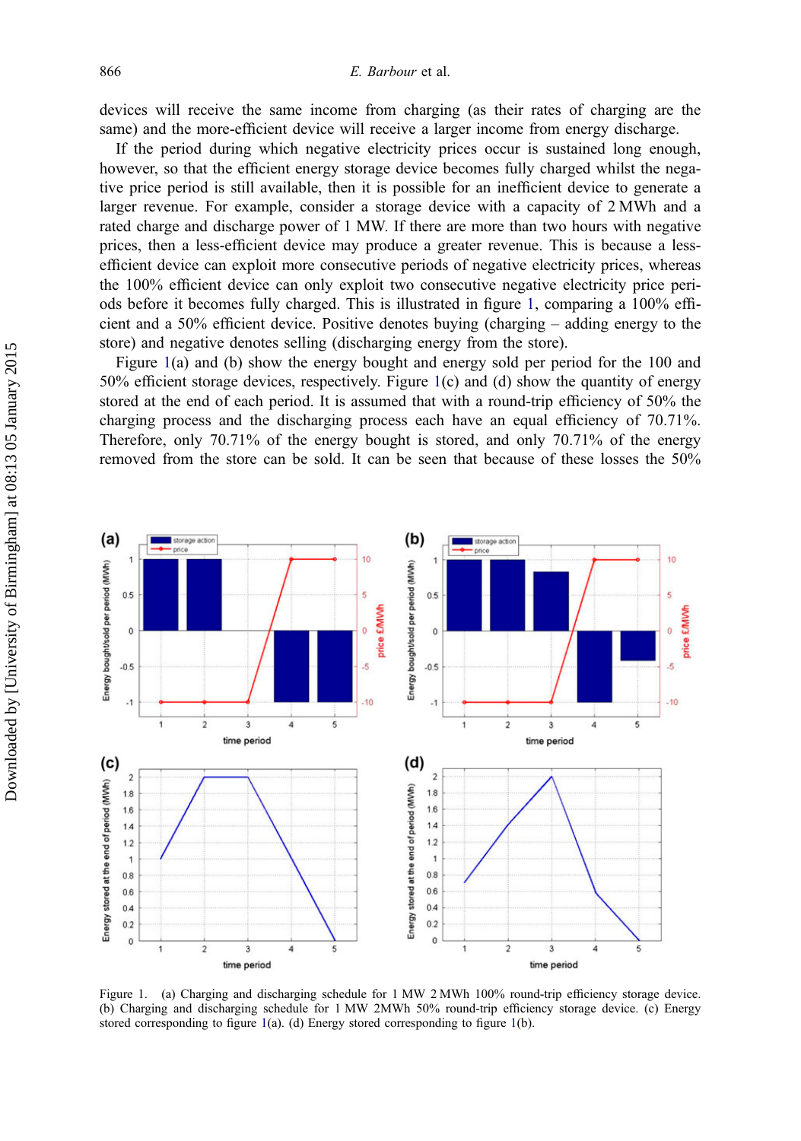devices will receive the same income from charging (as their rates of charging are the same) and the more-efficient device will receive a larger income from energy discharge.

If the period during which negative electricity prices occur is sustained long enough, however, so that the efficient energy storage device becomes fully charged whilst the negative price period is still available, then it is possible for an inefficient device to generate a larger revenue. For example, consider a storage device with a capacity of 2 MWh and a rated charge and discharge power of 1 MW. If there are more than two hours with negative prices, then a less-efficient device may produce a greater revenue. This is because a lessefficient device can exploit more consecutive periods of negative electricity prices, whereas the 100% efficient device can only exploit two consecutive negative electricity price periods before it becomes fully charged. This is illustrated in figure 1, comparing a 100% efficient and a 50% efficient device. Positive denotes buying (charging – adding energy to the store) and negative denotes selling (discharging energy from the store).

Figure 1(a) and (b) show the energy bought and energy sold per period for the 100 and 50% efficient storage devices, respectively. Figure 1(c) and (d) show the quantity of energy stored at the end of each period. It is assumed that with a round-trip efficiency of 50% the charging process and the discharging process each have an equal efficiency of 70.71%. Therefore, only 70.71% of the energy bought is stored, and only 70.71% of the energy removed from the store can be sold. It can be seen that because of these losses the 50%



Figure 1. (a) Charging and discharging schedule for 1 MW 2 MWh 100% round-trip efficiency storage device. (b) Charging and discharging schedule for 1 MW 2MWh 50% round-trip efficiency storage device. (c) Energy stored corresponding to figure 1(a). (d) Energy stored corresponding to figure 1(b).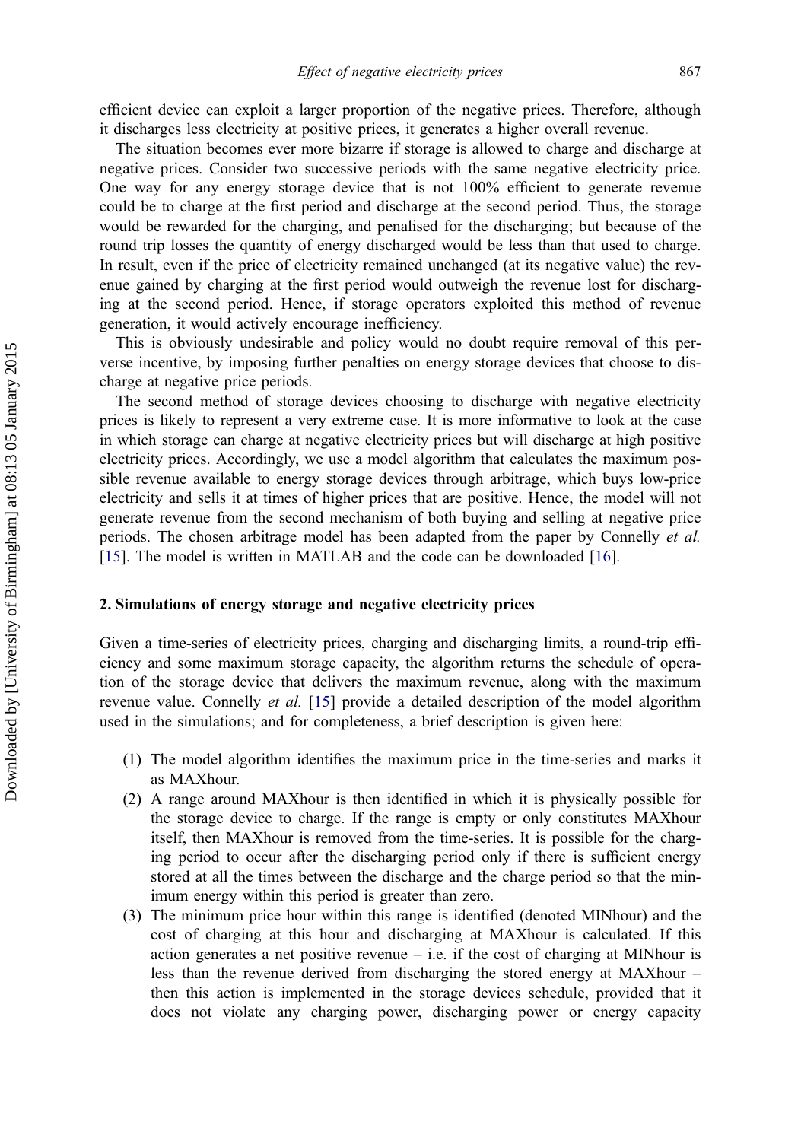<span id="page-8-0"></span>efficient device can exploit a larger proportion of the negative prices. Therefore, although it discharges less electricity at positive prices, it generates a higher overall revenue.

The situation becomes ever more bizarre if storage is allowed to charge and discharge at negative prices. Consider two successive periods with the same negative electricity price. One way for any energy storage device that is not 100% efficient to generate revenue could be to charge at the first period and discharge at the second period. Thus, the storage would be rewarded for the charging, and penalised for the discharging; but because of the round trip losses the quantity of energy discharged would be less than that used to charge. In result, even if the price of electricity remained unchanged (at its negative value) the revenue gained by charging at the first period would outweigh the revenue lost for discharging at the second period. Hence, if storage operators exploited this method of revenue generation, it would actively encourage inefficiency.

This is obviously undesirable and policy would no doubt require removal of this perverse incentive, by imposing further penalties on energy storage devices that choose to discharge at negative price periods.

The second method of storage devices choosing to discharge with negative electricity prices is likely to represent a very extreme case. It is more informative to look at the case in which storage can charge at negative electricity prices but will discharge at high positive electricity prices. Accordingly, we use a model algorithm that calculates the maximum possible revenue available to energy storage devices through arbitrage, which buys low-price electricity and sells it at times of higher prices that are positive. Hence, the model will not generate revenue from the second mechanism of both buying and selling at negative price periods. The chosen arbitrage model has been adapted from the paper by Connelly et al. [[15](#page-17-0)]. The model is written in MATLAB and the code can be downloaded [[16](#page-17-0)].

#### 2. Simulations of energy storage and negative electricity prices

Given a time-series of electricity prices, charging and discharging limits, a round-trip efficiency and some maximum storage capacity, the algorithm returns the schedule of operation of the storage device that delivers the maximum revenue, along with the maximum revenue value. Connelly *et al.* [\[15](#page-17-0)] provide a detailed description of the model algorithm used in the simulations; and for completeness, a brief description is given here:

- (1) The model algorithm identifies the maximum price in the time-series and marks it as MAXhour.
- (2) A range around MAXhour is then identified in which it is physically possible for the storage device to charge. If the range is empty or only constitutes MAXhour itself, then MAXhour is removed from the time-series. It is possible for the charging period to occur after the discharging period only if there is sufficient energy stored at all the times between the discharge and the charge period so that the minimum energy within this period is greater than zero.
- (3) The minimum price hour within this range is identified (denoted MINhour) and the cost of charging at this hour and discharging at MAXhour is calculated. If this action generates a net positive revenue  $-$  i.e. if the cost of charging at MINhour is less than the revenue derived from discharging the stored energy at MAXhour – then this action is implemented in the storage devices schedule, provided that it does not violate any charging power, discharging power or energy capacity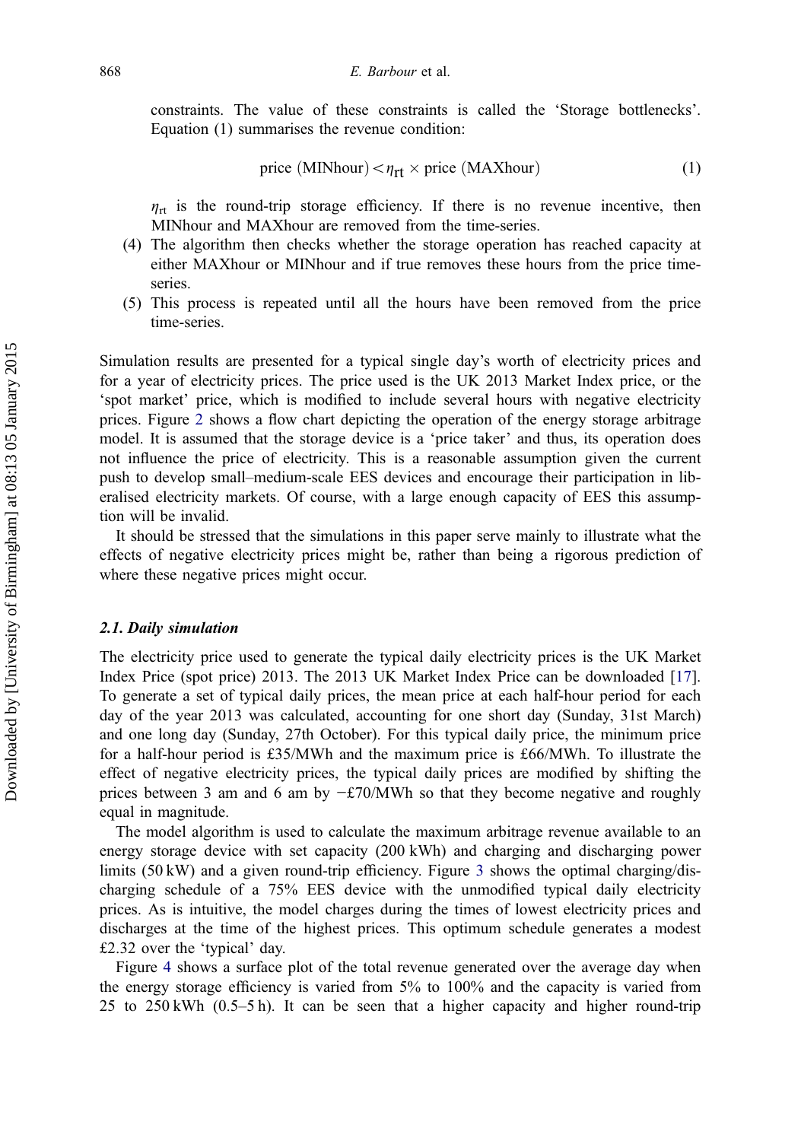constraints. The value of these constraints is called the 'Storage bottlenecks'. Equation (1) summarises the revenue condition:

$$
price (MINhour) < \eta_{rt} \times price (MAXhour)
$$
 (1)

 $\eta_{\rm rt}$  is the round-trip storage efficiency. If there is no revenue incentive, then MINhour and MAXhour are removed from the time-series.

- (4) The algorithm then checks whether the storage operation has reached capacity at either MAXhour or MINhour and if true removes these hours from the price timeseries.
- (5) This process is repeated until all the hours have been removed from the price time-series.

Simulation results are presented for a typical single day's worth of electricity prices and for a year of electricity prices. The price used is the UK 2013 Market Index price, or the 'spot market' price, which is modified to include several hours with negative electricity prices. Figure [2](#page-10-0) shows a flow chart depicting the operation of the energy storage arbitrage model. It is assumed that the storage device is a 'price taker' and thus, its operation does not influence the price of electricity. This is a reasonable assumption given the current push to develop small–medium-scale EES devices and encourage their participation in liberalised electricity markets. Of course, with a large enough capacity of EES this assumption will be invalid.

It should be stressed that the simulations in this paper serve mainly to illustrate what the effects of negative electricity prices might be, rather than being a rigorous prediction of where these negative prices might occur.

#### 2.1. Daily simulation

The electricity price used to generate the typical daily electricity prices is the UK Market Index Price (spot price) 2013. The 2013 UK Market Index Price can be downloaded [\[17](#page-17-0)]. To generate a set of typical daily prices, the mean price at each half-hour period for each day of the year 2013 was calculated, accounting for one short day (Sunday, 31st March) and one long day (Sunday, 27th October). For this typical daily price, the minimum price for a half-hour period is £35/MWh and the maximum price is £66/MWh. To illustrate the effect of negative electricity prices, the typical daily prices are modified by shifting the prices between 3 am and 6 am by  $-\text{\textsterling}70/\text{MWh}$  so that they become negative and roughly equal in magnitude.

The model algorithm is used to calculate the maximum arbitrage revenue available to an energy storage device with set capacity (200 kWh) and charging and discharging power limits (50 kW) and a given round-trip efficiency. Figure [3](#page-11-0) shows the optimal charging/discharging schedule of a 75% EES device with the unmodified typical daily electricity prices. As is intuitive, the model charges during the times of lowest electricity prices and discharges at the time of the highest prices. This optimum schedule generates a modest £2.32 over the 'typical' day.

Figure [4](#page-11-0) shows a surface plot of the total revenue generated over the average day when the energy storage efficiency is varied from 5% to 100% and the capacity is varied from 25 to 250 kWh (0.5–5 h). It can be seen that a higher capacity and higher round-trip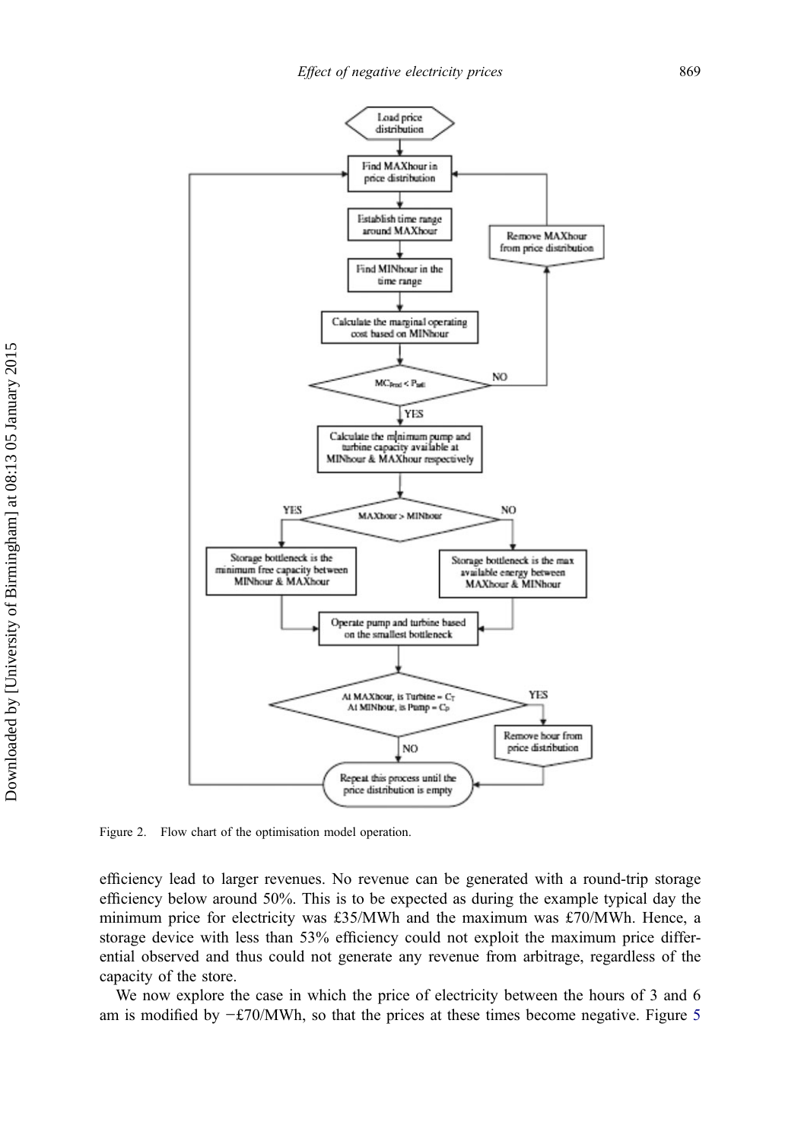<span id="page-10-0"></span>

Figure 2. Flow chart of the optimisation model operation.

efficiency lead to larger revenues. No revenue can be generated with a round-trip storage efficiency below around 50%. This is to be expected as during the example typical day the minimum price for electricity was £35/MWh and the maximum was £70/MWh. Hence, a storage device with less than 53% efficiency could not exploit the maximum price differential observed and thus could not generate any revenue from arbitrage, regardless of the capacity of the store.

We now explore the case in which the price of electricity between the hours of 3 and 6 am is modified by −£70/MWh, so that the prices at these times become negative. Figure [5](#page-12-0)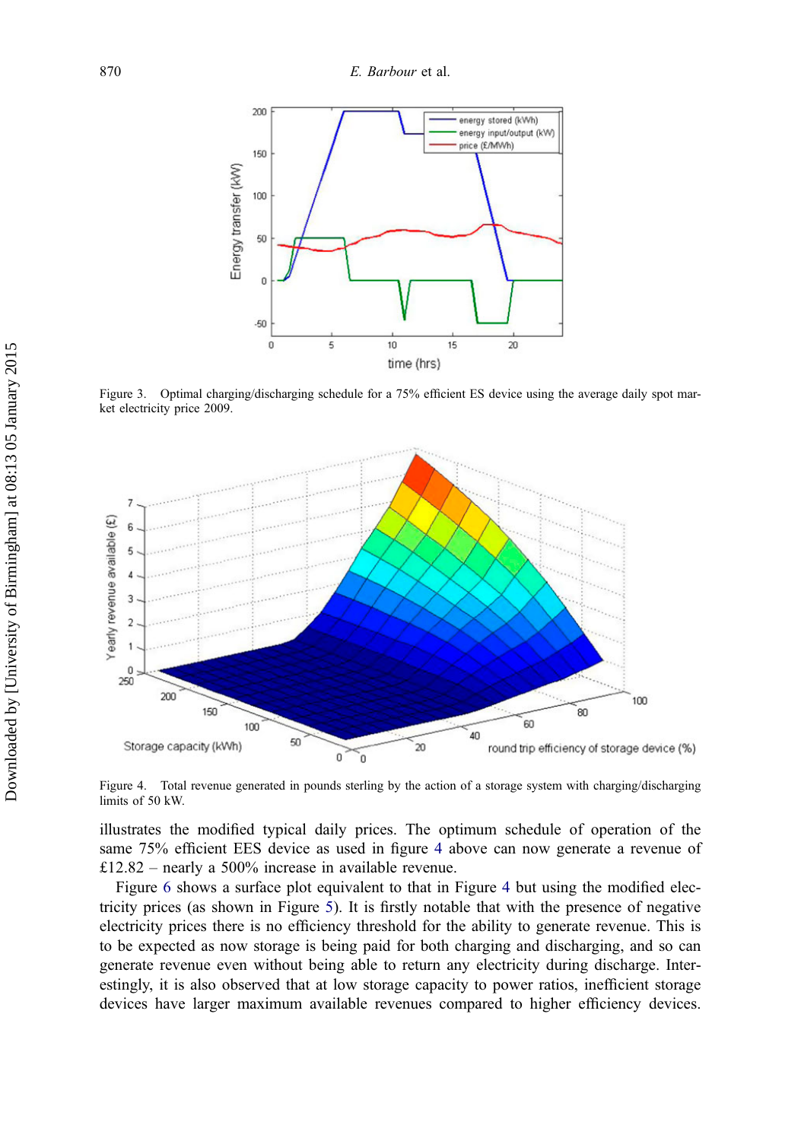<span id="page-11-0"></span>

Figure 3. Optimal charging/discharging schedule for a 75% efficient ES device using the average daily spot market electricity price 2009.



Figure 4. Total revenue generated in pounds sterling by the action of a storage system with charging/discharging limits of 50 kW.

illustrates the modified typical daily prices. The optimum schedule of operation of the same 75% efficient EES device as used in figure 4 above can now generate a revenue of £12.82 – nearly a 500% increase in available revenue.

Figure [6](#page-12-0) shows a surface plot equivalent to that in Figure 4 but using the modified electricity prices (as shown in Figure [5](#page-12-0)). It is firstly notable that with the presence of negative electricity prices there is no efficiency threshold for the ability to generate revenue. This is to be expected as now storage is being paid for both charging and discharging, and so can generate revenue even without being able to return any electricity during discharge. Interestingly, it is also observed that at low storage capacity to power ratios, inefficient storage devices have larger maximum available revenues compared to higher efficiency devices.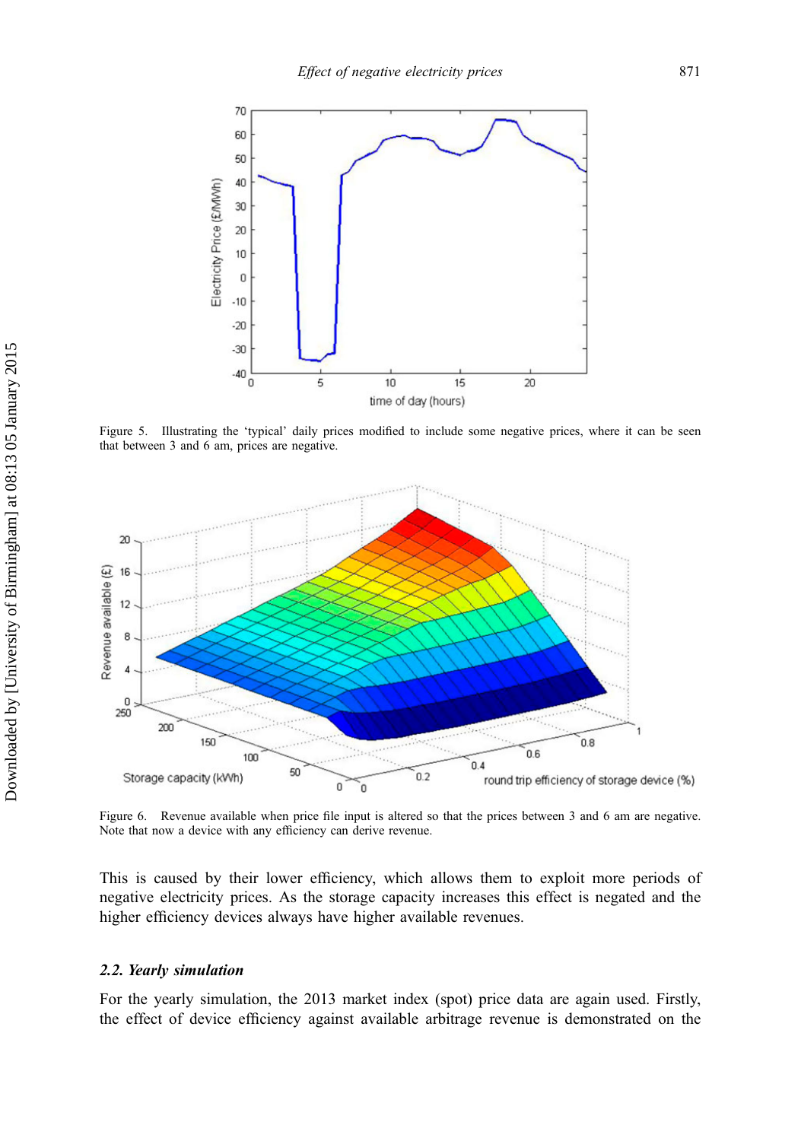<span id="page-12-0"></span>

Figure 5. Illustrating the 'typical' daily prices modified to include some negative prices, where it can be seen that between 3 and 6 am, prices are negative.



Figure 6. Revenue available when price file input is altered so that the prices between 3 and 6 am are negative. Note that now a device with any efficiency can derive revenue.

This is caused by their lower efficiency, which allows them to exploit more periods of negative electricity prices. As the storage capacity increases this effect is negated and the higher efficiency devices always have higher available revenues.

#### 2.2. Yearly simulation

For the yearly simulation, the 2013 market index (spot) price data are again used. Firstly, the effect of device efficiency against available arbitrage revenue is demonstrated on the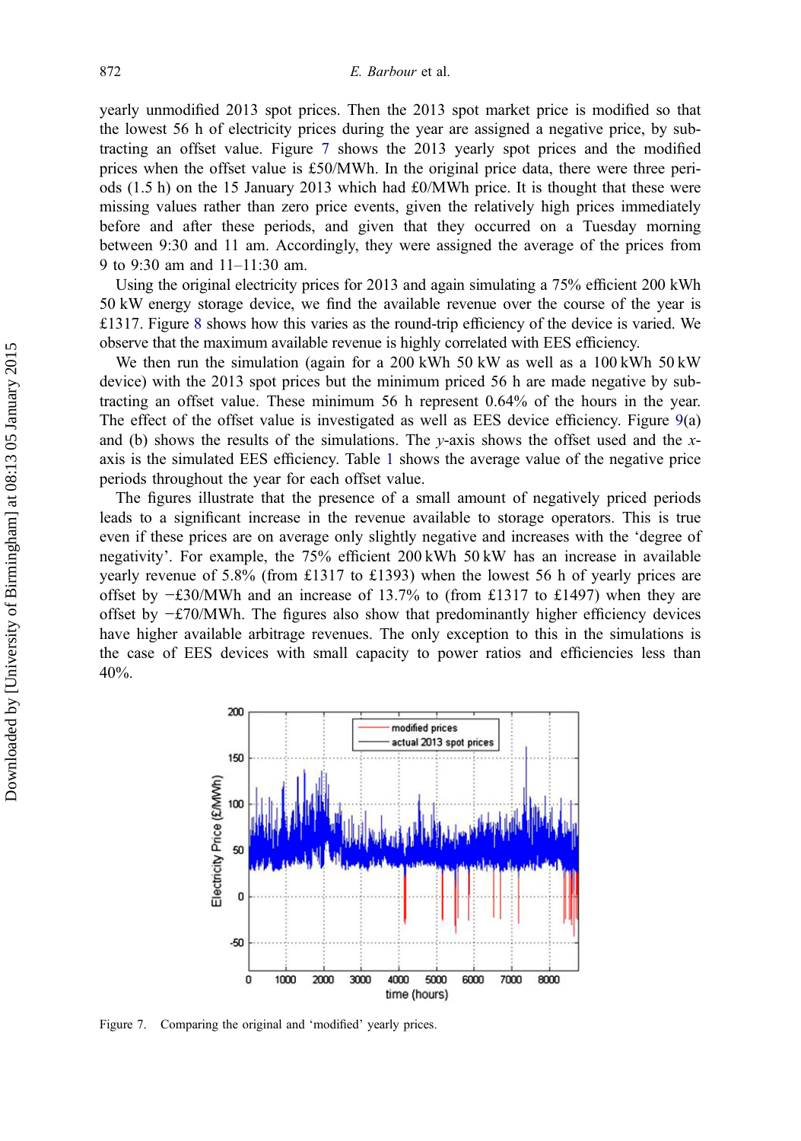yearly unmodified 2013 spot prices. Then the 2013 spot market price is modified so that the lowest 56 h of electricity prices during the year are assigned a negative price, by subtracting an offset value. Figure 7 shows the 2013 yearly spot prices and the modified prices when the offset value is £50/MWh. In the original price data, there were three periods (1.5 h) on the 15 January 2013 which had £0/MWh price. It is thought that these were missing values rather than zero price events, given the relatively high prices immediately before and after these periods, and given that they occurred on a Tuesday morning between 9:30 and 11 am. Accordingly, they were assigned the average of the prices from 9 to 9:30 am and 11–11:30 am.

Using the original electricity prices for 2013 and again simulating a 75% efficient 200 kWh 50 kW energy storage device, we find the available revenue over the course of the year is £1317. Figure [8](#page-14-0) shows how this varies as the round-trip efficiency of the device is varied. We observe that the maximum available revenue is highly correlated with EES efficiency.

We then run the simulation (again for a 200 kWh 50 kW as well as a 100 kWh 50 kW device) with the 2013 spot prices but the minimum priced 56 h are made negative by subtracting an offset value. These minimum 56 h represent 0.64% of the hours in the year. The effect of the offset value is investigated as well as EES device efficiency. Figure [9](#page-14-0)(a) and (b) shows the results of the simulations. The y-axis shows the offset used and the  $x$ axis is the simulated EES efficiency. Table [1](#page-15-0) shows the average value of the negative price periods throughout the year for each offset value.

The figures illustrate that the presence of a small amount of negatively priced periods leads to a significant increase in the revenue available to storage operators. This is true even if these prices are on average only slightly negative and increases with the 'degree of negativity'. For example, the 75% efficient 200 kWh 50 kW has an increase in available yearly revenue of 5.8% (from £1317 to £1393) when the lowest 56 h of yearly prices are offset by −£30/MWh and an increase of 13.7% to (from £1317 to £1497) when they are offset by −£70/MWh. The figures also show that predominantly higher efficiency devices have higher available arbitrage revenues. The only exception to this in the simulations is the case of EES devices with small capacity to power ratios and efficiencies less than 40%.



Figure 7. Comparing the original and 'modified' yearly prices.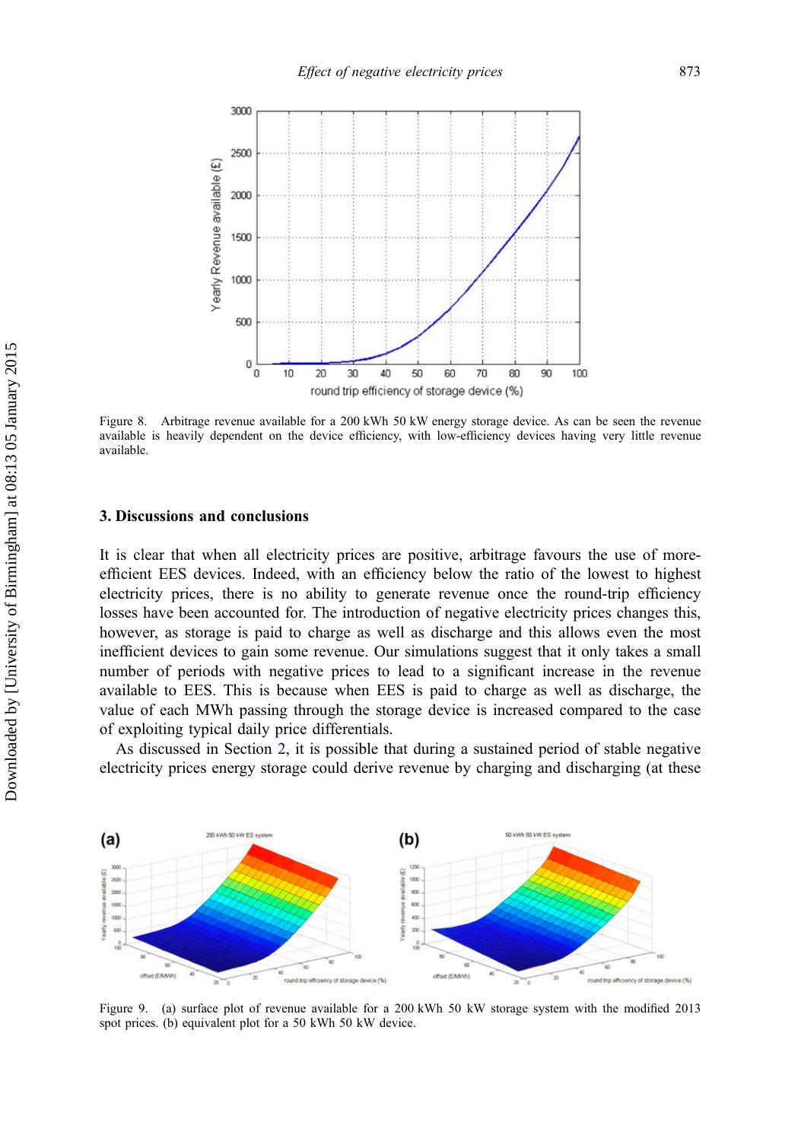<span id="page-14-0"></span>

Figure 8. Arbitrage revenue available for a 200 kWh 50 kW energy storage device. As can be seen the revenue available is heavily dependent on the device efficiency, with low-efficiency devices having very little revenue available.

#### 3. Discussions and conclusions

It is clear that when all electricity prices are positive, arbitrage favours the use of moreefficient EES devices. Indeed, with an efficiency below the ratio of the lowest to highest electricity prices, there is no ability to generate revenue once the round-trip efficiency losses have been accounted for. The introduction of negative electricity prices changes this, however, as storage is paid to charge as well as discharge and this allows even the most inefficient devices to gain some revenue. Our simulations suggest that it only takes a small number of periods with negative prices to lead to a significant increase in the revenue available to EES. This is because when EES is paid to charge as well as discharge, the value of each MWh passing through the storage device is increased compared to the case of exploiting typical daily price differentials.

As discussed in Section [2](#page-8-0), it is possible that during a sustained period of stable negative electricity prices energy storage could derive revenue by charging and discharging (at these



Figure 9. (a) surface plot of revenue available for a 200 kWh 50 kW storage system with the modified 2013 spot prices. (b) equivalent plot for a 50 kWh 50 kW device.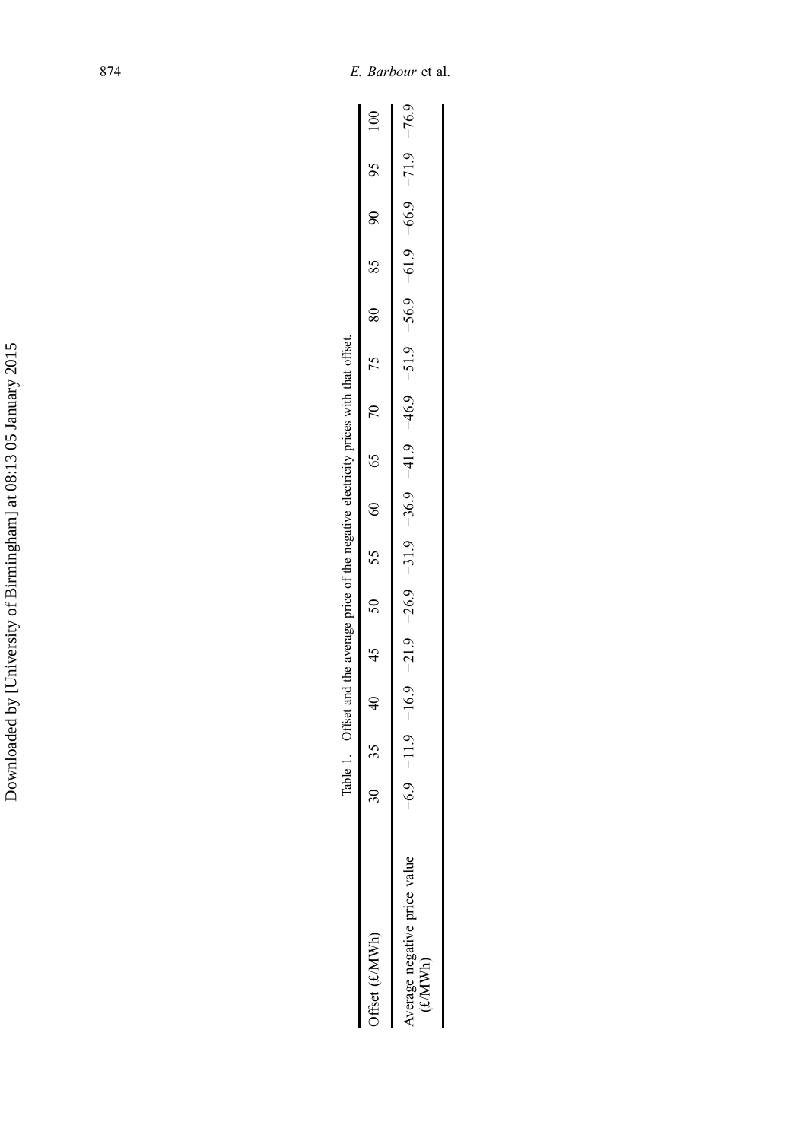<span id="page-15-0"></span>

| ļ                  |
|--------------------|
| í<br>l             |
| í                  |
|                    |
|                    |
|                    |
| I                  |
|                    |
| <b>เ</b>           |
|                    |
|                    |
| $\overline{a}$     |
|                    |
| l                  |
|                    |
|                    |
| ١                  |
|                    |
|                    |
|                    |
|                    |
|                    |
|                    |
|                    |
| l                  |
|                    |
|                    |
| $\frac{1}{2}$<br>l |
|                    |
|                    |
|                    |
|                    |
|                    |
|                    |
|                    |
| ļ                  |
|                    |

|                             |              | Table 1. Offset and the average price of the negative electricity prices with that offset. |              |         |    |          |  |       |         |
|-----------------------------|--------------|--------------------------------------------------------------------------------------------|--------------|---------|----|----------|--|-------|---------|
| $D$ ffset $(\pounds/MWh)$   | $30\qquad35$ | 40                                                                                         | $50\qquad55$ | $60$ 65 | 70 | 75 80 85 |  | 90 95 | 100     |
| verage negative price value |              | 6.14-6.99-6.19-6.99-6.15-6.97-6.17-6.98-6.16-6.98-6.18-6.97-6.17-6.91-6.11-6.9-            |              |         |    |          |  |       | $-76.9$ |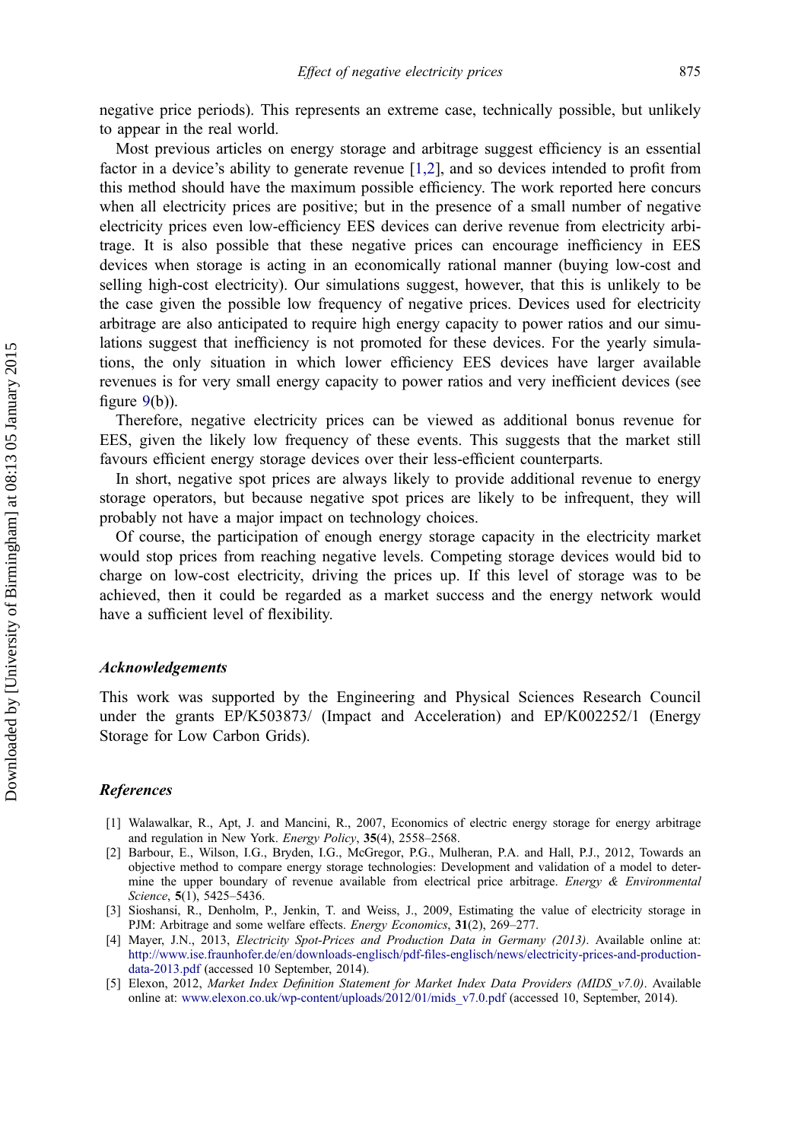<span id="page-16-0"></span>negative price periods). This represents an extreme case, technically possible, but unlikely to appear in the real world.

Most previous articles on energy storage and arbitrage suggest efficiency is an essential factor in a device's ability to generate revenue [1,2], and so devices intended to profit from this method should have the maximum possible efficiency. The work reported here concurs when all electricity prices are positive; but in the presence of a small number of negative electricity prices even low-efficiency EES devices can derive revenue from electricity arbitrage. It is also possible that these negative prices can encourage inefficiency in EES devices when storage is acting in an economically rational manner (buying low-cost and selling high-cost electricity). Our simulations suggest, however, that this is unlikely to be the case given the possible low frequency of negative prices. Devices used for electricity arbitrage are also anticipated to require high energy capacity to power ratios and our simulations suggest that inefficiency is not promoted for these devices. For the yearly simulations, the only situation in which lower efficiency EES devices have larger available revenues is for very small energy capacity to power ratios and very inefficient devices (see figure  $9(b)$  $9(b)$ ).

Therefore, negative electricity prices can be viewed as additional bonus revenue for EES, given the likely low frequency of these events. This suggests that the market still favours efficient energy storage devices over their less-efficient counterparts.

In short, negative spot prices are always likely to provide additional revenue to energy storage operators, but because negative spot prices are likely to be infrequent, they will probably not have a major impact on technology choices.

Of course, the participation of enough energy storage capacity in the electricity market would stop prices from reaching negative levels. Competing storage devices would bid to charge on low-cost electricity, driving the prices up. If this level of storage was to be achieved, then it could be regarded as a market success and the energy network would have a sufficient level of flexibility.

#### Acknowledgements

This work was supported by the Engineering and Physical Sciences Research Council under the grants EP/K503873/ (Impact and Acceleration) and EP/K002252/1 (Energy Storage for Low Carbon Grids).

#### References

- [1] Walawalkar, R., Apt, J. and Mancini, R., 2007, Economics of electric energy storage for energy arbitrage and regulation in New York. Energy Policy, 35(4), 2558–2568.
- [2] Barbour, E., Wilson, I.G., Bryden, I.G., McGregor, P.G., Mulheran, P.A. and Hall, P.J., 2012, Towards an objective method to compare energy storage technologies: Development and validation of a model to determine the upper boundary of revenue available from electrical price arbitrage. Energy  $\&$  Environmental Science, 5(1), 5425–5436.
- [3] Sioshansi, R., Denholm, P., Jenkin, T. and Weiss, J., 2009, Estimating the value of electricity storage in PJM: Arbitrage and some welfare effects. Energy Economics, 31(2), 269-277.
- [4] Mayer, J.N., 2013, Electricity Spot-Prices and Production Data in Germany (2013). Available online at: [http://www.ise.fraunhofer.de/en/downloads-englisch/pdf-](http://www.ise.fraunhofer.de/en/downloads-englisch/pdf-files-englisch/news/electricity-prices-and-production-data-2013.pdf)files-englisch/news/electricity-prices-and-production[data-2013.pdf](http://www.ise.fraunhofer.de/en/downloads-englisch/pdf-files-englisch/news/electricity-prices-and-production-data-2013.pdf) (accessed 10 September, 2014).
- [5] Elexon, 2012, Market Index Definition Statement for Market Index Data Providers (MIDS v7.0). Available online at: [www.elexon.co.uk/wp-content/uploads/2012/01/mids\\_v7.0.pdf](http://www.elexon.co.uk/wp-content/uploads/2012/01/mids_v7.0.pdf) (accessed 10, September, 2014).